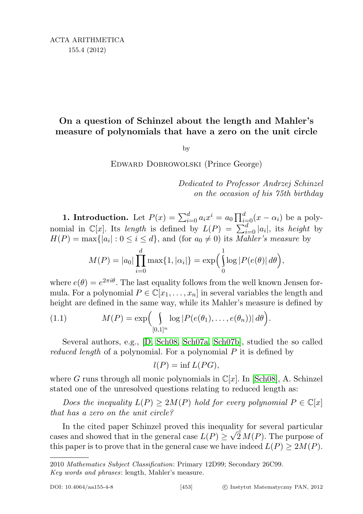# On a question of Schinzel about the length and Mahler's measure of polynomials that have a zero on the unit circle

by

Edward Dobrowolski (Prince George)

Dedicated to Professor Andrzej Schinzel on the occasion of his 75th birthday

**1. Introduction.** Let  $P(x) = \sum_{i=0}^{d} a_i x^i = a_0 \prod_{i=0}^{d} (x - \alpha_i)$  be a polynomial in  $\mathbb{C}[x]$ . Its length is defined by  $L(P) = \sum_{i=0}^{d} |a_i|$ , its height by  $H(P) = \max\{|a_i| : 0 \le i \le d\}$ , and (for  $a_0 \ne 0$ ) its *Mahler's measure* by

$$
M(P) = |a_0| \prod_{i=0}^d \max\{1, |\alpha_i|\} = \exp\left(\int_0^1 \log |P(e(\theta)| d\theta)\right),
$$

where  $e(\theta) = e^{2\pi i \theta}$ . The last equality follows from the well known Jensen formula. For a polynomial  $P \in \mathbb{C}[x_1, \ldots, x_n]$  in several variables the length and height are defined in the same way, while its Mahler's measure is defined by

(1.1) 
$$
M(P) = \exp\left(\int_{[0,1]^n} \log |P(e(\theta_1),...,e(\theta_n))| d\theta\right).
$$

Several authors, e.g., [\[D,](#page-10-0) [Sch08,](#page-10-1) [Sch07a,](#page-10-2) [Sch07b\]](#page-10-3), studied the so called *reduced length* of a polynomial. For a polynomial  $P$  it is defined by

$$
l(P) = \inf L(PG),
$$

where G runs through all monic polynomials in  $\mathbb{C}[x]$ . In [\[Sch08\]](#page-10-1), A. Schinzel stated one of the unresolved questions relating to reduced length as:

Does the inequality  $L(P) \geq 2M(P)$  hold for every polynomial  $P \in \mathbb{C}[x]$ that has a zero on the unit circle?

In the cited paper Schinzel proved this inequality for several particular cases and showed that in the general case  $L(P) \geq \sqrt{2 M(P)}$ . The purpose of this paper is to prove that in the general case we have indeed  $L(P) \geq 2M(P)$ .

<sup>2010</sup> Mathematics Subject Classification: Primary 12D99; Secondary 26C99. Key words and phrases: length, Mahler's measure.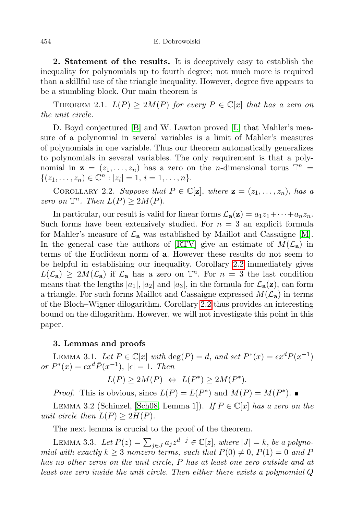#### 454 E. Dobrowolski

2. Statement of the results. It is deceptively easy to establish the inequality for polynomials up to fourth degree; not much more is required than a skillful use of the triangle inequality. However, degree five appears to be a stumbling block. Our main theorem is

THEOREM 2.1.  $L(P) \geq 2M(P)$  for every  $P \in \mathbb{C}[x]$  that has a zero on the unit circle.

D. Boyd conjectured [\[B\]](#page-10-4) and W. Lawton proved [\[L\]](#page-10-5) that Mahler's measure of a polynomial in several variables is a limit of Mahler's measures of polynomials in one variable. Thus our theorem automatically generalizes to polynomials in several variables. The only requirement is that a polynomial in  $z = (z_1, \ldots, z_n)$  has a zero on the *n*-dimensional torus  $\mathbb{T}^n =$  $\{(z_1, \ldots, z_n) \in \mathbb{C}^n : |z_i| = 1, i = 1, \ldots, n\}.$ 

<span id="page-1-0"></span>COROLLARY 2.2. Suppose that  $P \in \mathbb{C}[\mathbf{z}]$ , where  $\mathbf{z} = (z_1, \ldots, z_n)$ , has a zero on  $\mathbb{T}^n$ . Then  $L(P) \geq 2M(P)$ .

In particular, our result is valid for linear forms  $\mathcal{L}_{a}(z) = a_1 z_1 + \cdots + a_n z_n$ . Such forms have been extensively studied. For  $n = 3$  an explicit formula for Mahler's measure of  $\mathcal{L}_a$  was established by Maillot and Cassaigne [\[M\]](#page-10-6). In the general case the authors of  $\left[\text{RTV}\right]$  give an estimate of  $M(\mathcal{L}_a)$  in terms of the Euclidean norm of a. However these results do not seem to be helpful in establishing our inequality. Corollary [2.2](#page-1-0) immediately gives  $L(\mathcal{L}_{a}) \geq 2M(\mathcal{L}_{a})$  if  $\mathcal{L}_{a}$  has a zero on  $\mathbb{T}^{n}$ . For  $n = 3$  the last condition means that the lengths  $|a_1|, |a_2|$  and  $|a_3|$ , in the formula for  $\mathcal{L}_{\mathbf{a}}(\mathbf{z})$ , can form a triangle. For such forms Maillot and Cassaigne expressed  $M(\mathcal{L}_a)$  in terms of the Bloch–Wigner dilogarithm. Corollary [2.2](#page-1-0) thus provides an interesting bound on the dilogarithm. However, we will not investigate this point in this paper.

## 3. Lemmas and proofs

LEMMA 3.1. Let  $P \in \mathbb{C}[x]$  with  $\deg(P) = d$ , and set  $P^*(x) = \epsilon x^d P(x^{-1})$ or  $P^*(x) = \epsilon x^d \overline{P}(x^{-1}), |\epsilon| = 1$ . Then

$$
L(P) \ge 2M(P) \iff L(P^*) \ge 2M(P^*).
$$

*Proof.* This is obvious, since  $L(P) = L(P^*)$  and  $M(P) = M(P^*)$ .

LEMMA 3.2 (Schinzel, [\[Sch08,](#page-10-1) Lemma 1]). If  $P \in \mathbb{C}[x]$  has a zero on the unit circle then  $L(P) \geq 2H(P)$ .

The next lemma is crucial to the proof of the theorem.

<span id="page-1-1"></span>LEMMA 3.3. Let  $P(z) = \sum_{j \in J} a_j z^{d-j} \in \mathbb{C}[z]$ , where  $|J| = k$ , be a polynomial with exactly  $k \geq 3$  nonzero terms, such that  $P(0) \neq 0$ ,  $P(1) = 0$  and P has no other zeros on the unit circle, P has at least one zero outside and at least one zero inside the unit circle. Then either there exists a polynomial Q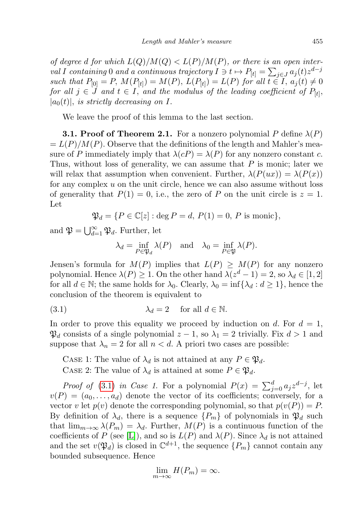of degree d for which  $L(Q)/M(Q) < L(P)/M(P)$ , or there is an open interval I containing 0 and a continuous trajectory  $I \ni t \mapsto P_{[t]} = \sum_{j \in J} a_j(t) z^{d-j}$ such that  $P_{[0]} = P$ ,  $M(P_{[t]}) = M(P)$ ,  $L(P_{[t]}) = L(P)$  for all  $t \in I$ ,  $a_j(t) \neq 0$ for all  $j \in J$  and  $t \in I$ , and the modulus of the leading coefficient of  $P_{[t]}$ ,  $|a_0(t)|$ , is strictly decreasing on I.

We leave the proof of this lemma to the last section.

**3.1. Proof of Theorem 2.1.** For a nonzero polynomial P define  $\lambda(P)$  $= L(P)/M(P)$ . Observe that the definitions of the length and Mahler's measure of P immediately imply that  $\lambda(cP) = \lambda(P)$  for any nonzero constant c. Thus, without loss of generality, we can assume that  $P$  is monic; later we will relax that assumption when convenient. Further,  $\lambda(P(ux)) = \lambda(P(x))$ for any complex  $u$  on the unit circle, hence we can also assume without loss of generality that  $P(1) = 0$ , i.e., the zero of P on the unit circle is  $z = 1$ . Let

$$
\mathfrak{P}_d = \{ P \in \mathbb{C}[z] : \text{deg } P = d, P(1) = 0, P \text{ is monic} \},
$$

and  $\mathfrak{P} = \bigcup_{d=1}^{\infty} \mathfrak{P}_d$ . Further, let

<span id="page-2-0"></span>
$$
\lambda_d = \inf_{P \in \mathfrak{P}_d} \lambda(P)
$$
 and  $\lambda_0 = \inf_{P \in \mathfrak{P}} \lambda(P)$ .

Jensen's formula for  $M(P)$  implies that  $L(P) \geq M(P)$  for any nonzero polynomial. Hence  $\lambda(P) \geq 1$ . On the other hand  $\lambda(z^d - 1) = 2$ , so  $\lambda_d \in [1, 2]$ for all  $d \in \mathbb{N}$ ; the same holds for  $\lambda_0$ . Clearly,  $\lambda_0 = \inf{\lambda_d : d \geq 1}$ , hence the conclusion of the theorem is equivalent to

(3.1) 
$$
\lambda_d = 2 \quad \text{for all } d \in \mathbb{N}.
$$

In order to prove this equality we proceed by induction on d. For  $d = 1$ ,  $\mathfrak{P}_d$  consists of a single polynomial  $z - 1$ , so  $\lambda_1 = 2$  trivially. Fix  $d > 1$  and suppose that  $\lambda_n = 2$  for all  $n < d$ . A priori two cases are possible:

CASE 1: The value of  $\lambda_d$  is not attained at any  $P \in \mathfrak{P}_d$ . CASE 2: The value of  $\lambda_d$  is attained at some  $P \in \mathfrak{P}_d$ .

*Proof of* [\(3.1\)](#page-2-0) in Case 1. For a polynomial  $P(x) = \sum_{j=0}^{d} a_j z^{d-j}$ , let  $v(P) = (a_0, \ldots, a_d)$  denote the vector of its coefficients; conversely, for a vector v let  $p(v)$  denote the corresponding polynomial, so that  $p(v(P)) = P$ . By definition of  $\lambda_d$ , there is a sequence  $\{P_m\}$  of polynomials in  $\mathfrak{P}_d$  such that  $\lim_{m\to\infty}\lambda(P_m)=\lambda_d$ . Further,  $M(P)$  is a continuous function of the coefficients of P (see [\[L\]](#page-10-5)), and so is  $L(P)$  and  $\lambda(P)$ . Since  $\lambda_d$  is not attained and the set  $v(\mathfrak{P}_d)$  is closed in  $\mathbb{C}^{d+1}$ , the sequence  $\{P_m\}$  cannot contain any bounded subsequence. Hence

$$
\lim_{m \to \infty} H(P_m) = \infty.
$$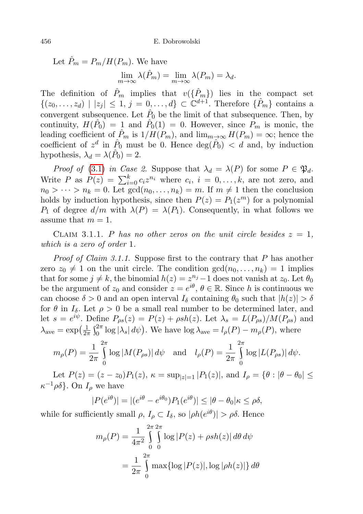Let  $\hat{P}_m = P_m / H(P_m)$ . We have  $\lim_{m \to \infty} \lambda(\hat{P}_m) = \lim_{m \to \infty} \lambda(P_m) = \lambda_d.$ 

The definition of  $\hat{P}_m$  implies that  $v(\{\hat{P}_m\})$  lies in the compact set  $\{(z_0,\ldots,z_d) \mid |z_j| \leq 1, j=0,\ldots,d\} \subset \mathbb{C}^{d+1}$ . Therefore  $\{\hat{P}_m\}$  contains a convergent subsequence. Let  $\hat{P}_0$  be the limit of that subsequence. Then, by continuity,  $H(\hat{P}_0) = 1$  and  $\hat{P}_0(1) = 0$ . However, since  $\hat{P}_m$  is monic, the leading coefficient of  $\hat{P}_m$  is  $1/H(P_m)$ , and  $\lim_{m\to\infty} H(P_m) = \infty$ ; hence the coefficient of  $z^d$  in  $\hat{P}_0$  must be 0. Hence  $\deg(\hat{P}_0) < d$  and, by induction hypothesis,  $\lambda_d = \lambda(\hat{P}_0) = 2$ .

Proof of [\(3.1\)](#page-2-0) in Case 2. Suppose that  $\lambda_d = \lambda(P)$  for some  $P \in \mathfrak{P}_d$ . Write P as  $P(z) = \sum_{i=0}^{k} c_i z^{n_i}$  where  $c_i$ ,  $i = 0, ..., k$ , are not zero, and  $n_0 > \cdots > n_k = 0$ . Let  $gcd(n_0, \ldots, n_k) = m$ . If  $m \neq 1$  then the conclusion holds by induction hypothesis, since then  $P(z) = P_1(z^m)$  for a polynomial  $P_1$  of degree  $d/m$  with  $\lambda(P) = \lambda(P_1)$ . Consequently, in what follows we assume that  $m = 1$ .

CLAIM 3.1.1. P has no other zeros on the unit circle besides  $z = 1$ , which is a zero of order 1.

*Proof of Claim 3.1.1.* Suppose first to the contrary that  $P$  has another zero  $z_0 \neq 1$  on the unit circle. The condition  $gcd(n_0, \ldots, n_k) = 1$  implies that for some  $j \neq k$ , the binomial  $h(z) = z^{n_j} - 1$  does not vanish at  $z_0$ . Let  $\theta_0$ be the argument of  $z_0$  and consider  $z = e^{i\theta}$ ,  $\theta \in \mathbb{R}$ . Since h is continuous we can choose  $\delta > 0$  and an open interval  $I_{\delta}$  containing  $\theta_0$  such that  $|h(z)| > \delta$ for  $\theta$  in  $I_{\delta}$ . Let  $\rho > 0$  be a small real number to be determined later, and let  $s = e^{i\psi}$ . Define  $P_{\rho s}(z) = P(z) + \rho sh(z)$ . Let  $\lambda_s = L(P_{\rho s})/M(P_{\rho s})$  and  $\lambda_{\text{ave}} = \exp\left(\frac{1}{2\pi}\right)$  $\frac{1}{2\pi} \int_0^{2\pi} \log |\lambda_s| d\psi$ . We have  $\log \lambda_{ave} = l_\rho(P) - m_\rho(P)$ , where

$$
m_{\rho}(P) = \frac{1}{2\pi} \int_{0}^{2\pi} \log|M(P_{\rho s})| d\psi \text{ and } l_{\rho}(P) = \frac{1}{2\pi} \int_{0}^{2\pi} \log|L(P_{\rho s})| d\psi.
$$

Let  $P(z) = (z - z_0)P_1(z)$ ,  $\kappa = \sup_{|z|=1} |P_1(z)|$ , and  $I_\rho = \{\theta : |\theta - \theta_0| \leq$  $\kappa^{-1}\rho\delta$ . On  $I_{\rho}$  we have

$$
|P(e^{i\theta})| = |(e^{i\theta} - e^{i\theta_0})P_1(e^{i\theta})| \le |\theta - \theta_0|\kappa \le \rho\delta,
$$

while for sufficiently small  $\rho, I_{\rho} \subset I_{\delta}$ , so  $|\rho h(e^{i\theta})| > \rho \delta$ . Hence

$$
m_{\rho}(P) = \frac{1}{4\pi^2} \int_{0}^{2\pi} \int_{0}^{2\pi} \log |P(z) + \rho sh(z)| d\theta d\psi
$$

$$
= \frac{1}{2\pi} \int_{0}^{2\pi} \max \{ \log |P(z)|, \log |\rho h(z)| \} d\theta
$$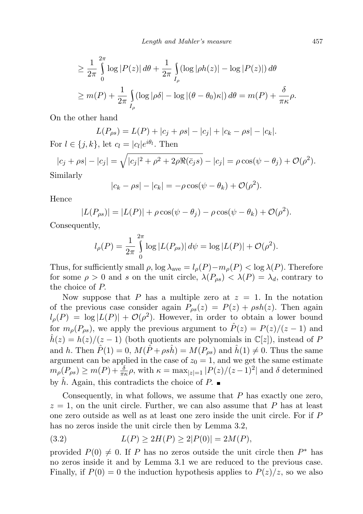$$
\geq \frac{1}{2\pi} \int_{0}^{2\pi} \log |P(z)| d\theta + \frac{1}{2\pi} \int_{I_{\rho}} (\log |ph(z)| - \log |P(z)|) d\theta
$$
  

$$
\geq m(P) + \frac{1}{2\pi} \int_{I_{\rho}} (\log |p\delta| - \log |(\theta - \theta_0)\kappa|) d\theta = m(P) + \frac{\delta}{\pi \kappa} \rho.
$$

On the other hand

$$
L(P_{\rho s}) = L(P) + |c_j + \rho s| - |c_j| + |c_k - \rho s| - |c_k|.
$$

For  $l \in \{j, k\}$ , let  $c_l = |c_l|e^{i\theta_l}$ . Then

$$
|c_j + \rho s| - |c_j| = \sqrt{|c_j|^2 + \rho^2 + 2\rho \Re(\bar{c}_j s)} - |c_j| = \rho \cos(\psi - \theta_j) + \mathcal{O}(\rho^2).
$$
  
Similarly

Similarly

$$
|c_k - \rho s| - |c_k| = -\rho \cos(\psi - \theta_k) + \mathcal{O}(\rho^2).
$$

Hence

$$
|L(P_{\rho s})| = |L(P)| + \rho \cos(\psi - \theta_j) - \rho \cos(\psi - \theta_k) + \mathcal{O}(\rho^2).
$$

Consequently,

$$
l_{\rho}(P) = \frac{1}{2\pi} \int_{0}^{2\pi} \log |L(P_{\rho s})| d\psi = \log |L(P)| + \mathcal{O}(\rho^{2}).
$$

Thus, for sufficiently small  $\rho$ , log  $\lambda_{ave} = l_{\rho}(P) - m_{\rho}(P) < \log \lambda(P)$ . Therefore for some  $\rho > 0$  and s on the unit circle,  $\lambda(P_{\rho s}) < \lambda(P) = \lambda_d$ , contrary to the choice of P.

Now suppose that P has a multiple zero at  $z = 1$ . In the notation of the previous case consider again  $P_{\rho s}(z) = P(z) + \rho sh(z)$ . Then again  $l_{\rho}(P) = \log |L(P)| + \mathcal{O}(\rho^2)$ . However, in order to obtain a lower bound for  $m_{\rho}(P_{\rho s})$ , we apply the previous argument to  $\hat{P}(z) = P(z)/(z - 1)$  and  $\hat{h}(z) = h(z)/(z-1)$  (both quotients are polynomials in  $\mathbb{C}[z]$ ), instead of P and h. Then  $\hat{P}(1) = 0$ ,  $M(\hat{P} + \rho s\hat{h}) = M(P_{\rho s})$  and  $\hat{h}(1) \neq 0$ . Thus the same argument can be applied in the case of  $z_0 = 1$ , and we get the same estimate  $m_{\rho}(P_{\rho s}) \ge m(P) + \frac{\delta}{\pi \kappa} \rho$ , with  $\kappa = \max_{|z|=1} |P(z)/(z-1)^2|$  and  $\delta$  determined by h. Again, this contradicts the choice of P.

Consequently, in what follows, we assume that  $P$  has exactly one zero,  $z = 1$ , on the unit circle. Further, we can also assume that P has at least one zero outside as well as at least one zero inside the unit circle. For if P has no zeros inside the unit circle then by Lemma 3.2,

<span id="page-4-0"></span>(3.2) 
$$
L(P) \ge 2H(P) \ge 2|P(0)| = 2M(P),
$$

provided  $P(0) \neq 0$ . If P has no zeros outside the unit circle then  $P^*$  has no zeros inside it and by Lemma 3.1 we are reduced to the previous case. Finally, if  $P(0) = 0$  the induction hypothesis applies to  $P(z)/z$ , so we also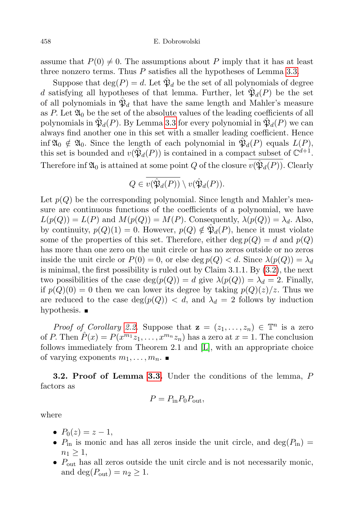assume that  $P(0) \neq 0$ . The assumptions about P imply that it has at least three nonzero terms. Thus  $P$  satisfies all the hypotheses of Lemma [3.3.](#page-1-1)

Suppose that  $\deg(P) = d$ . Let  $\hat{\mathfrak{P}}_d$  be the set of all polynomials of degree d satisfying all hypotheses of that lemma. Further, let  $\hat{\mathfrak{P}}_d(P)$  be the set of all polynomials in  $\hat{\mathfrak{P}}_d$  that have the same length and Mahler's measure as  $P$ . Let  $\mathfrak{A}_0$  be the set of the absolute values of the leading coefficients of all polynomials in  $\hat{\mathfrak{P}}_d(P)$ . By Lemma [3.3](#page-1-1) for every polynomial in  $\hat{\mathfrak{P}}_d(P)$  we can always find another one in this set with a smaller leading coefficient. Hence inf  $\mathfrak{A}_0 \notin \mathfrak{A}_0$ . Since the length of each polynomial in  $\mathfrak{B}_d(P)$  equals  $L(P)$ , this set is bounded and  $v(\hat{\mathfrak{P}}_d(P))$  is contained in a compact subset of  $\mathbb{C}^{d+1}$ . Therefore inf  $\mathfrak{A}_0$  is attained at some point  $Q$  of the closure  $v(\hat{\mathfrak{P}}_d(P))$ . Clearly

$$
Q \in v(\hat{\mathfrak{P}}_d(P)) \setminus v(\hat{\mathfrak{P}}_d(P)).
$$

Let  $p(Q)$  be the corresponding polynomial. Since length and Mahler's measure are continuous functions of the coefficients of a polynomial, we have  $L(p(Q)) = L(P)$  and  $M(p(Q)) = M(P)$ . Consequently,  $\lambda(p(Q)) = \lambda_d$ . Also, by continuity,  $p(Q)(1) = 0$ . However,  $p(Q) \notin \hat{\mathfrak{P}}_d(P)$ , hence it must violate some of the properties of this set. Therefore, either deg  $p(Q) = d$  and  $p(Q)$ has more than one zero on the unit circle or has no zeros outside or no zeros inside the unit circle or  $P(0) = 0$ , or else deg  $p(Q) < d$ . Since  $\lambda(p(Q)) = \lambda_d$ is minimal, the first possibility is ruled out by Claim 3.1.1. By [\(3.2\)](#page-4-0), the next two possibilities of the case  $deg(p(Q)) = d$  give  $\lambda(p(Q)) = \lambda_d = 2$ . Finally, if  $p(Q)(0) = 0$  then we can lower its degree by taking  $p(Q)(z)/z$ . Thus we are reduced to the case  $deg(p(Q)) < d$ , and  $\lambda_d = 2$  follows by induction hypothesis.  $\blacksquare$ 

*Proof of Corollary [2.2.](#page-1-0)* Suppose that  $\mathbf{z} = (z_1, \ldots, z_n) \in \mathbb{T}^n$  is a zero of P. Then  $\hat{P}(x) = P(x^{m_1}z_1, \ldots, x^{m_n}z_n)$  has a zero at  $x = 1$ . The conclusion follows immediately from Theorem 2.1 and [\[L\]](#page-10-5), with an appropriate choice of varying exponents  $m_1, \ldots, m_n$ .

**3.2. Proof of Lemma [3.3.](#page-1-1)** Under the conditions of the lemma, P factors as

$$
P = P_{\rm in} P_0 P_{\rm out},
$$

where

- $P_0(z) = z 1$ ,
- $P_{\text{in}}$  is monic and has all zeros inside the unit circle, and deg( $P_{\text{in}}$ ) =  $n_1 \geq 1$ ,
- $P_{\text{out}}$  has all zeros outside the unit circle and is not necessarily monic, and deg( $P_{\text{out}}$ ) =  $n_2 \geq 1$ .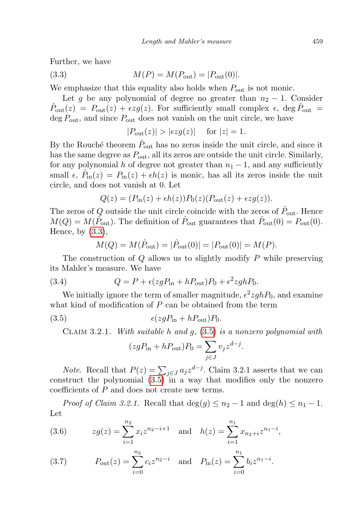Further, we have

(3.3) 
$$
M(P) = M(P_{\text{out}}) = |P_{\text{out}}(0)|.
$$

We emphasize that this equality also holds when  $P_{\text{out}}$  is not monic.

Let g be any polynomial of degree no greater than  $n_2 - 1$ . Consider  $\hat{P}_{\text{out}}(z) = P_{\text{out}}(z) + \epsilon z g(z)$ . For sufficiently small complex  $\epsilon$ , deg  $\hat{P}_{\text{out}} =$  $\deg P_{\text{out}}$ , and since  $P_{\text{out}}$  does not vanish on the unit circle, we have

<span id="page-6-0"></span>
$$
|P_{\text{out}}(z)| > |\epsilon z g(z)| \quad \text{ for } |z| = 1.
$$

By the Rouché theorem  $\hat{P}_{\text{out}}$  has no zeros inside the unit circle, and since it has the same degree as  $P_{\text{out}}$ , all its zeros are outside the unit circle. Similarly, for any polynomial h of degree not greater than  $n_1 - 1$ , and any sufficiently small  $\epsilon$ ,  $\hat{P}_{\text{in}}(z) = P_{\text{in}}(z) + \epsilon h(z)$  is monic, has all its zeros inside the unit circle, and does not vanish at 0. Let

$$
Q(z) = (P_{\text{in}}(z) + \epsilon h(z))P_0(z)(P_{\text{out}}(z) + \epsilon z g(z)).
$$

The zeros of  $Q$  outside the unit circle coincide with the zeros of  $\hat{P}_{\text{out}}$ . Hence  $M(Q) = M(\hat{P}_{\text{out}})$ . The definition of  $\hat{P}_{\text{out}}$  guarantees that  $\hat{P}_{\text{out}}(0) = P_{\text{out}}(0)$ . Hence, by [\(3.3\)](#page-6-0),

<span id="page-6-3"></span>
$$
M(Q) = M(\hat{P}_{\text{out}}) = |\hat{P}_{\text{out}}(0)| = |P_{\text{out}}(0)| = M(P).
$$

The construction of  $Q$  allows us to slightly modify  $P$  while preserving its Mahler's measure. We have

(3.4) 
$$
Q = P + \epsilon (z g P_{\text{in}} + h P_{\text{out}}) P_0 + \epsilon^2 z g h P_0.
$$

We initially ignore the term of smaller magnitude,  $\epsilon^2 zghP_0$ , and examine what kind of modification of  $P$  can be obtained from the term

$$
(3.5) \qquad \epsilon (z g P_{\rm in} + h P_{\rm out}) P_0.
$$

CLAIM 3.2.1. With suitable h and  $g<sub>1</sub>$ , [\(3.5\)](#page-6-1) is a nonzero polynomial with

<span id="page-6-1"></span>
$$
(zgP_{\text{in}} + hP_{\text{out}})P_0 = \sum_{j \in J} v_j z^{d-j}.
$$

*Note.* Recall that  $P(z) = \sum_{j \in J} a_j z^{d-j}$ . Claim 3.2.1 asserts that we can construct the polynomial [\(3.5\)](#page-6-1) in a way that modifies only the nonzero coefficients of P and does not create new terms.

*Proof of Claim 3.2.1.* Recall that  $\deg(g) \leq n_2 - 1$  and  $\deg(h) \leq n_1 - 1$ . Let

<span id="page-6-2"></span>(3.6) 
$$
zg(z) = \sum_{i=1}^{n_2} x_i z^{n_2 - i + 1} \text{ and } h(z) = \sum_{i=1}^{n_1} x_{n_2 + i} z^{n_1 - i},
$$

<span id="page-6-4"></span>(3.7) 
$$
P_{\text{out}}(z) = \sum_{i=0}^{n_2} c_i z^{n_2 - i} \text{ and } P_{\text{in}}(z) = \sum_{i=0}^{n_1} b_i z^{n_1 - i}.
$$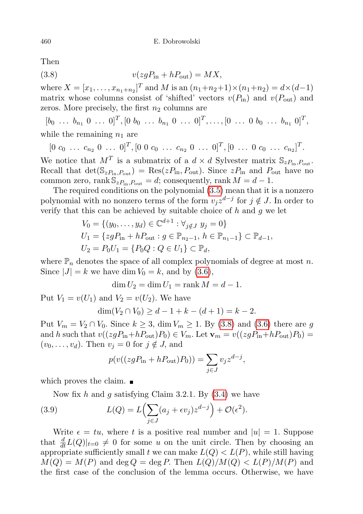Then

<span id="page-7-0"></span>
$$
(3.8) \t v(zgPin + hPout) = MX,
$$

where  $X = [x_1, \ldots, x_{n_1+n_2}]^T$  and M is an  $(n_1+n_2+1) \times (n_1+n_2) = d \times (d-1)$ matrix whose columns consist of 'shifted' vectors  $v(P_{\text{in}})$  and  $v(P_{\text{out}})$  and zeros. More precisely, the first  $n_2$  columns are

 $[b_0 \ldots b_{n_1} \ 0 \ \ldots \ 0]^T, [0 \ b_0 \ \ldots \ b_{n_1} \ 0 \ \ldots \ 0]^T, \ldots, [0 \ \ldots \ 0 \ b_0 \ \ldots \ b_{n_1} \ 0]^T,$ while the remaining  $n_1$  are

 $[0 \ c_0 \ \ldots \ c_{n_2} \ 0 \ \ldots \ 0]^T$ ,  $[0 \ 0 \ c_0 \ \ldots \ c_{n_2} \ 0 \ \ldots \ 0]^T$ ,  $[0 \ \ldots \ 0 \ c_0 \ \ldots \ c_{n_2}]^T$ .

We notice that  $M<sup>T</sup>$  is a submatrix of a  $d \times d$  Sylvester matrix  $\mathbb{S}_{zP_{\text{in}}$ ,  $P_{\text{out}}}$ . Recall that  $\det(\mathbb{S}_{zP_{\text{in}},P_{\text{out}}}) = \text{Res}(zP_{\text{in}},P_{\text{out}})$ . Since  $zP_{\text{in}}$  and  $P_{\text{out}}$  have no common zero, rank  $\mathbb{S}_{zP_{\text{in}}P_{\text{out}}} = d$ ; consequently, rank  $M = d - 1$ .

The required conditions on the polynomial [\(3.5\)](#page-6-1) mean that it is a nonzero polynomial with no nonzero terms of the form  $v_j z^{d-j}$  for  $j \notin J$ . In order to verify that this can be achieved by suitable choice of  $h$  and  $g$  we let

$$
V_0 = \{(y_0, \dots, y_d) \in \mathbb{C}^{d+1} : \forall_{j \notin J} \ y_j = 0\}
$$
  
\n
$$
U_1 = \{zgP_{\text{in}} + hP_{\text{out}} : g \in \mathbb{P}_{n_2 - 1}, h \in \mathbb{P}_{n_1 - 1}\} \subset \mathbb{P}_{d-1},
$$
  
\n
$$
U_2 = P_0U_1 = \{P_0Q : Q \in U_1\} \subset \mathbb{P}_d,
$$

where  $\mathbb{P}_n$  denotes the space of all complex polynomials of degree at most n. Since  $|J| = k$  we have dim  $V_0 = k$ , and by [\(3.6\)](#page-6-2),

 $\dim U_2 = \dim U_1 = \text{rank } M = d - 1.$ 

Put  $V_1 = v(U_1)$  and  $V_2 = v(U_2)$ . We have

$$
\dim(V_2 \cap V_0) \ge d - 1 + k - (d + 1) = k - 2.
$$

Put  $V_m = V_2 \cap V_0$ . Since  $k \geq 3$ , dim  $V_m \geq 1$ . By [\(3.8\)](#page-7-0) and [\(3.6\)](#page-6-2) there are g and h such that  $v((zgP_{\text{in}}+hP_{\text{out}})P_0) \in V_m$ . Let  $\mathbf{v}_m = v((zgP_{\text{in}}+hP_{\text{out}})P_0) =$  $(v_0, \ldots, v_d)$ . Then  $v_j = 0$  for  $j \notin J$ , and

$$
p(v((zgP_{\text{in}} + hP_{\text{out}})P_0)) = \sum_{j \in J} v_j z^{d-j},
$$

which proves the claim.

Now fix h and q satisfying Claim 3.2.1. By  $(3.4)$  we have

(3.9) 
$$
L(Q) = L\left(\sum_{j\in J} (a_j + \epsilon v_j) z^{d-j}\right) + \mathcal{O}(\epsilon^2).
$$

Write  $\epsilon = tu$ , where t is a positive real number and  $|u| = 1$ . Suppose that  $\frac{d}{dt}L(Q)|_{t=0} \neq 0$  for some u on the unit circle. Then by choosing an appropriate sufficiently small t we can make  $L(Q) < L(P)$ , while still having  $M(Q) = M(P)$  and deg  $Q = \text{deg } P$ . Then  $L(Q)/M(Q) < L(P)/M(P)$  and the first case of the conclusion of the lemma occurs. Otherwise, we have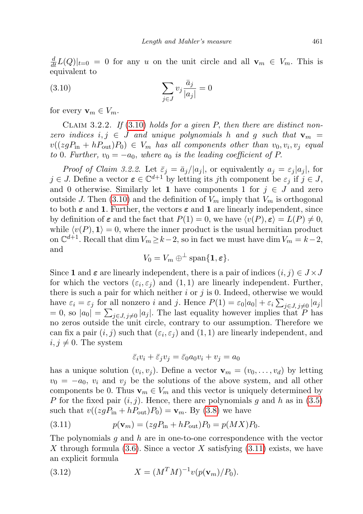$\frac{d}{dt}L(Q)|_{t=0} = 0$  for any u on the unit circle and all  $\mathbf{v}_m \in V_m$ . This is equivalent to

<span id="page-8-0"></span>(3.10) 
$$
\sum_{j \in J} v_j \frac{\bar{a}_j}{|a_j|} = 0
$$

for every  $\mathbf{v}_m \in V_m$ .

CLAIM 3.2.2. If  $(3.10)$  $(3.10)$  holds for a given P, then there are distinct nonzero indices  $i, j \in J$  and unique polynomials h and g such that  $\mathbf{v}_m =$  $v((zgP_{\text{in}}+hP_{\text{out}})P_0) \in V_m$  has all components other than  $v_0, v_i, v_j$  equal to 0. Further,  $v_0 = -a_0$ , where  $a_0$  is the leading coefficient of P.

*Proof of Claim 3.2.2.* Let  $\bar{\varepsilon}_j = \bar{a}_j/|a_j|$ , or equivalently  $a_j = \varepsilon_j |a_j|$ , for  $j \in J$ . Define a vector  $\boldsymbol{\varepsilon} \in \mathbb{C}^{d+1}$  by letting its jth component be  $\varepsilon_j$  if  $j \in J$ , and 0 otherwise. Similarly let 1 have components 1 for  $j \in J$  and zero outside J. Then [\(3.10\)](#page-8-0) and the definition of  $V_m$  imply that  $V_m$  is orthogonal to both  $\varepsilon$  and 1. Further, the vectors  $\varepsilon$  and 1 are linearly independent, since by definition of  $\varepsilon$  and the fact that  $P(1) = 0$ , we have  $\langle v(P), \varepsilon \rangle = L(P) \neq 0$ , while  $\langle v(P), 1 \rangle = 0$ , where the inner product is the usual hermitian product on  $\mathbb{C}^{d+1}$ . Recall that dim  $V_m \geq k-2$ , so in fact we must have dim  $V_m = k-2$ , and

$$
V_0 = V_m \oplus^{\perp} \text{span}\{\mathbf{1}, \boldsymbol{\varepsilon}\}.
$$

Since 1 and  $\varepsilon$  are linearly independent, there is a pair of indices  $(i, j) \in J \times J$ for which the vectors  $(\varepsilon_i, \varepsilon_j)$  and  $(1, 1)$  are linearly independent. Further, there is such a pair for which neither  $i$  or  $j$  is 0. Indeed, otherwise we would have  $\varepsilon_i = \varepsilon_j$  for all nonzero i and j. Hence  $P(1) = \varepsilon_0 |a_0| + \varepsilon_i \sum_{j \in J, j \neq 0} |a_j|$  $= 0$ , so  $|a_0| = \sum_{j \in J, j \neq 0} |a_j|$ . The last equality however implies that P has no zeros outside the unit circle, contrary to our assumption. Therefore we can fix a pair  $(i, j)$  such that  $(\varepsilon_i, \varepsilon_j)$  and  $(1, 1)$  are linearly independent, and  $i, j \neq 0$ . The system

$$
\bar{\varepsilon}_i v_i + \bar{\varepsilon}_j v_j = \bar{\varepsilon}_0 a_0 v_i + v_j = a_0
$$

has a unique solution  $(v_i, v_j)$ . Define a vector  $\mathbf{v}_m = (v_0, \dots, v_d)$  by letting  $v_0 = -a_0$ ,  $v_i$  and  $v_j$  be the solutions of the above system, and all other components be 0. Thus  $\mathbf{v}_m \in V_m$  and this vector is uniquely determined by P for the fixed pair  $(i, j)$ . Hence, there are polynomials g and h as in  $(3.5)$ such that  $v((zgP_{\text{in}} + hP_{\text{out}})P_0) = \mathbf{v}_m$ . By [\(3.8\)](#page-7-0) we have

<span id="page-8-1"></span>(3.11) 
$$
p(\mathbf{v}_m) = (z g P_{\text{in}} + h P_{\text{out}}) P_0 = p(MX) P_0.
$$

The polynomials  $g$  and  $h$  are in one-to-one correspondence with the vector X through formula  $(3.6)$ . Since a vector X satisfying  $(3.11)$  exists, we have an explicit formula

<span id="page-8-2"></span>(3.12) 
$$
X = (M^T M)^{-1} v(p(\mathbf{v}_m)/P_0).
$$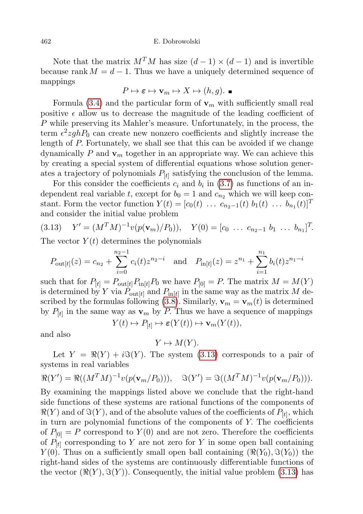## 462 E. Dobrowolski

Note that the matrix  $M^T M$  has size  $(d-1) \times (d-1)$  and is invertible because rank  $M = d - 1$ . Thus we have a uniquely determined sequence of mappings

$$
P \mapsto \varepsilon \mapsto \mathbf{v}_m \mapsto X \mapsto (h, g). \blacksquare
$$

Formula [\(3.4\)](#page-6-3) and the particular form of  $v_m$  with sufficiently small real positive  $\epsilon$  allow us to decrease the magnitude of the leading coefficient of P while preserving its Mahler's measure. Unfortunately, in the process, the term  $\epsilon^2 zghP_0$  can create new nonzero coefficients and slightly increase the length of P. Fortunately, we shall see that this can be avoided if we change dynamically P and  $v_m$  together in an appropriate way. We can achieve this by creating a special system of differential equations whose solution generates a trajectory of polynomials  $P_{[t]}$  satisfying the conclusion of the lemma.

For this consider the coefficients  $c_i$  and  $b_i$  in [\(3.7\)](#page-6-4) as functions of an independent real variable t, except for  $b_0 = 1$  and  $c_{n_2}$  which we will keep constant. Form the vector function  $Y(t) = [c_0(t) \dots c_{n_2-1}(t) b_1(t) \dots b_{n_1}(t)]^T$ and consider the initial value problem

<span id="page-9-0"></span>
$$
(3.13) \t Y' = (M^T M)^{-1} v(p(\mathbf{v}_m)/P_0)), \t Y(0) = [c_0 \dots c_{n_2-1} b_1 \dots b_{n_1}]^T.
$$

The vector  $Y(t)$  determines the polynomials

$$
P_{\text{out}[t]}(z) = c_{n_2} + \sum_{i=0}^{n_2 - 1} c_i(t) z^{n_2 - i} \quad \text{and} \quad P_{\text{in}[t]}(z) = z^{n_1} + \sum_{i=1}^{n_1} b_i(t) z^{n_1 - i}
$$

such that for  $P_{[t]} = P_{\text{out}[t]} P_{\text{in}[t]} P_0$  we have  $P_{[0]} = P$ . The matrix  $M = M(Y)$ is determined by Y via  $P_{\text{out}[t]}$  and  $P_{\text{in}[t]}$  in the same way as the matrix M de-scribed by the formulas following [\(3.8\)](#page-7-0). Similarly,  $\mathbf{v}_m = \mathbf{v}_m(t)$  is determined by  $P_{[t]}$  in the same way as  $\mathbf{v}_m$  by P. Thus we have a sequence of mappings  $Y(t) \mapsto P_{[t]} \mapsto \varepsilon(Y(t)) \mapsto \mathbf{v}_m(Y(t)),$ 

and also

$$
Y \mapsto M(Y).
$$

Let  $Y = \Re(Y) + i\Im(Y)$ . The system [\(3.13\)](#page-9-0) corresponds to a pair of systems in real variables

$$
\Re(Y') = \Re((M^T M)^{-1} v(p(\mathbf{v}_m/P_0))), \quad \Im(Y') = \Im((M^T M)^{-1} v(p(\mathbf{v}_m/P_0))).
$$

By examining the mappings listed above we conclude that the right-hand side functions of these systems are rational functions of the components of  $\Re(Y)$  and of  $\Im(Y)$ , and of the absolute values of the coefficients of  $P_{[t]}$ , which in turn are polynomial functions of the components of Y. The coefficients of  $P_{[0]} = P$  correspond to  $Y(0)$  and are not zero. Therefore the coefficients of  $P_{[t]}$  corresponding to Y are not zero for Y in some open ball containing  $Y(0)$ . Thus on a sufficiently small open ball containing  $(\Re(Y_0), \Im(Y_0))$  the right-hand sides of the systems are continuously differentiable functions of the vector  $(\Re(Y), \Im(Y))$ . Consequently, the initial value problem [\(3.13\)](#page-9-0) has